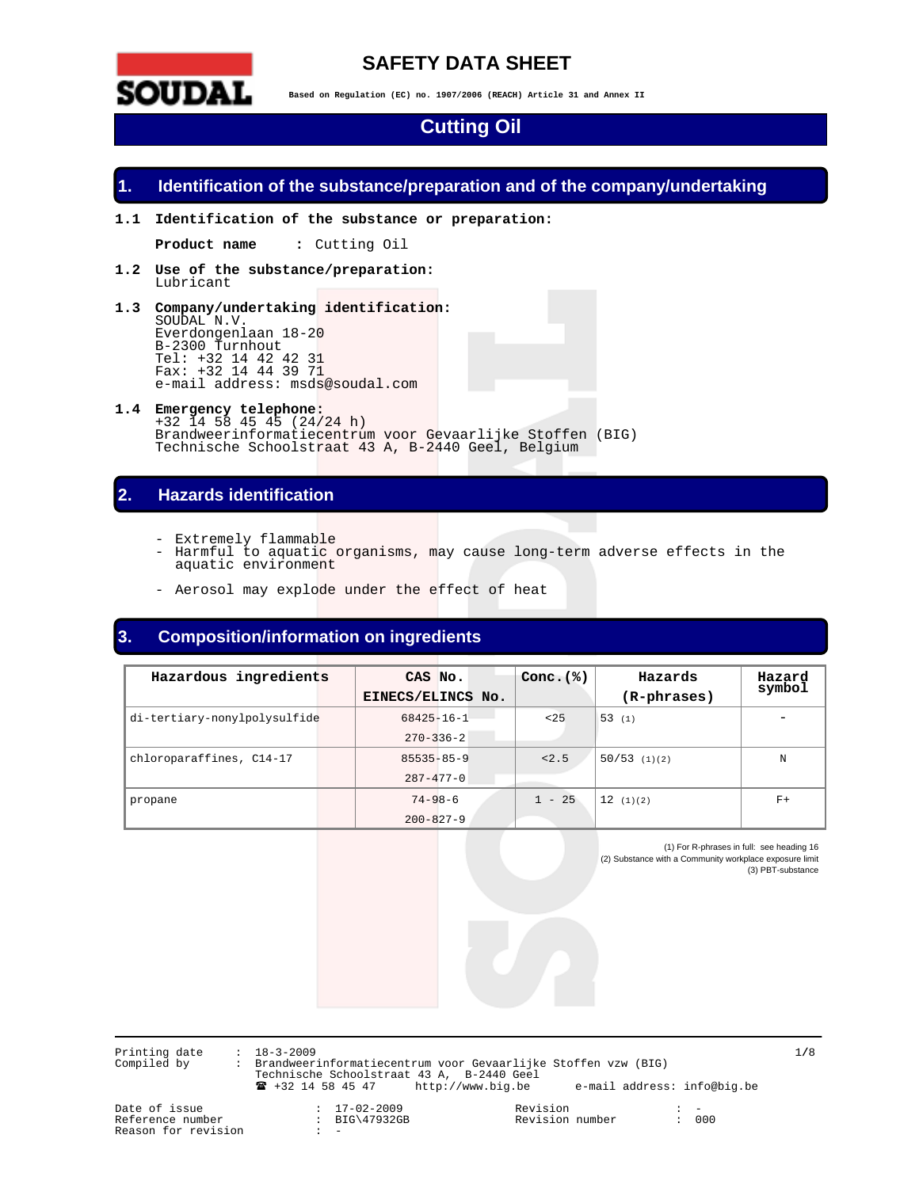

# **SAFETY DATA SHEET**

**Based on Regulation (EC) no. 1907/2006 (REACH) Article 31 and Annex II** 

# **Cutting Oil**

## **1. Identification of the substance/preparation and of the company/undertaking**

**1.1 Identification of the substance or preparation:** 

**Product name :** Cutting Oil

- **1.2 Use of the substance/preparation:**  Lubricant
- **1.3 Company/undertaking identification:**  SOUDAL N.V. Everdongenlaan 18-20 B-2300 Turnhout Tel: +32 14 42 42 31 Fax: +32 14 44 39 71 e-mail address: msds@soudal.com
- **1.4 Emergency telephone:**  +32 14 58 45 45 (24/24 h) Brandweerinformatiecentrum voor Gevaarlijke Stoffen (BIG) Technische Schoolstraat 43 A, B-2440 Geel, Belgium

# **2. Hazards identification**

- Extremely flammable
- Harmful to aquatic organisms, may cause long-term adverse effects in the aquatic environment
- Aerosol may explode under the effect of heat

# **3. Composition/information on ingredients**

| Hazardous ingredients        | CAS No.           | Conc. $(%)$ | Hazards        | Hazard |
|------------------------------|-------------------|-------------|----------------|--------|
|                              | EINECS/ELINCS No. |             | (R-phrases)    | symbol |
| di-tertiary-nonylpolysulfide | $68425 - 16 - 1$  | < 25        | (53 (1)        |        |
|                              | $270 - 336 - 2$   |             |                |        |
| chloroparaffines, C14-17     | $85535 - 85 - 9$  | < 2.5       | $50/53$ (1)(2) | N      |
|                              | $287 - 477 - 0$   |             |                |        |
| propane                      | $74 - 98 - 6$     | $1 - 25$    | 12(1)(2)       | $F+$   |
|                              | $200 - 827 - 9$   |             |                |        |

(1) For R-phrases in full: see heading 16 (2) Substance with a Community workplace exposure limit (3) PBT-substance

Printing date : 18-3-2009 1**/**8 Compiled by : Brandweerinformatiecentrum voor Gevaarlijke Stoffen vzw (BIG) Technische Schoolstraat 43 A, B-2440 Geel ! +32 14 58 45 47 http://www.big.be e-mail address: info@big.be

Reason for revision

: BIG\47932GB Revision number<br>: -

Date of issue : 17-02-2009 Revision : -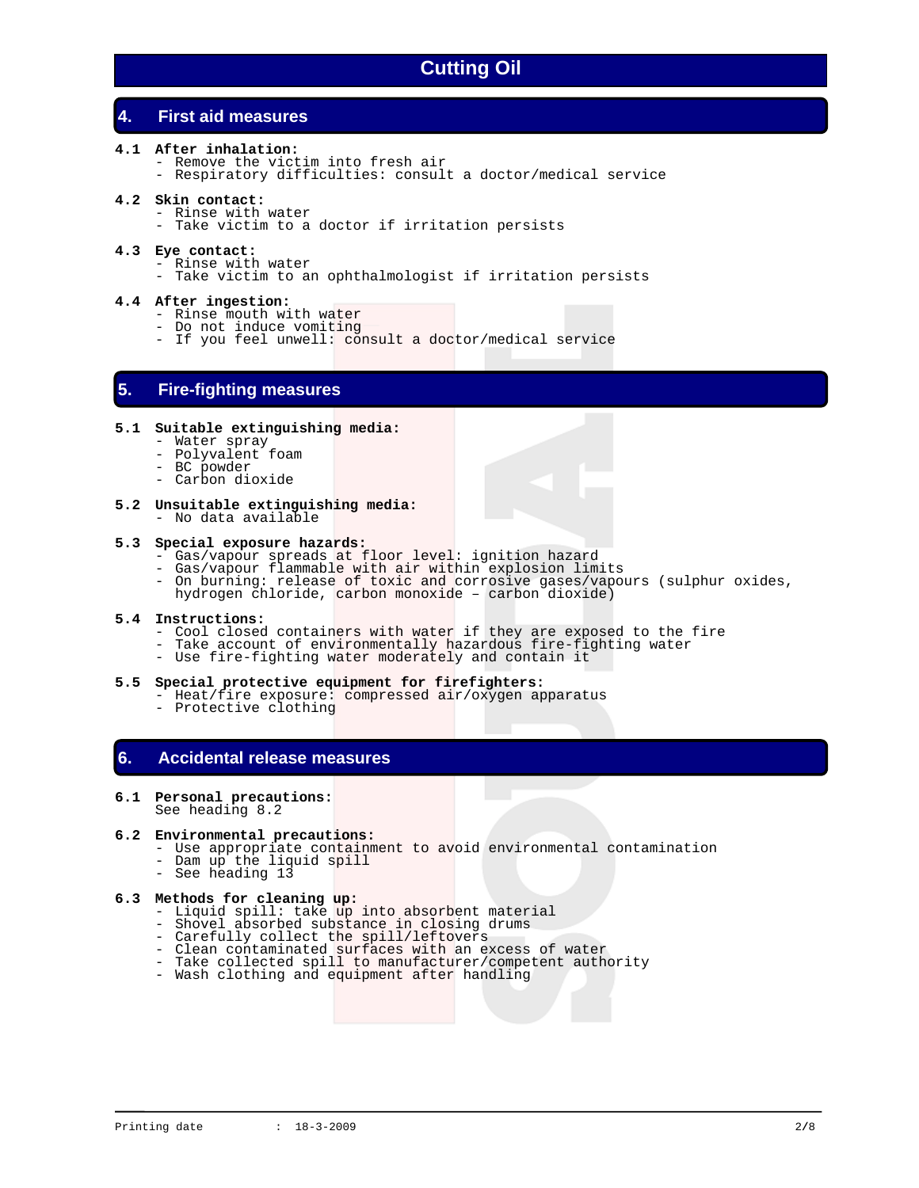# **4. First aid measures**

- **4.1 After inhalation:** 
	- Remove the victim into fresh air
	- Respiratory difficulties: consult a doctor/medical service
- **4.2 Skin contact:** 
	- Rinse with water
		- Take victim to a doctor if irritation persists
- **4.3 Eye contact:** 
	- Rinse with water
	- Take victim to an ophthalmologist if irritation persists

### **4.4 After ingestion:**

- Rinse mouth with water
- Do not induce vomiting
- If you feel unwell: consult a doctor/medical service

## **5. Fire-fighting measures**

- **5.1 Suitable extinguishing media:** 
	- Water spray
	- Polyvalent foam
- BC powder
- Carbon dioxide
- **5.2 Unsuitable extinguishing media:**  - No data available

#### **5.3 Special exposure hazards:**

- Gas/vapour spreads at floor level: ignition hazard
- Gas/vapour flammable with air within explosion limits
	- On burning: release of toxic and corrosive gases/vapours (sulphur oxides, hydrogen chloride, carbon monoxide – carbon dioxide)
- **5.4 Instructions:** 
	- Cool closed containers with water if they are exposed to the fire
	- Take account of environmentally hazardous fire-fighting water
	- Use fire-fighting water moderately and contain it

#### **5.5 Special protective equipment for firefighters:**

- Heat/fire exposure: compressed air/oxygen apparatus
	- Protective clothing

# **6. Accidental release measures**

## **6.1 Personal precautions:**

See heading 8.2

## **6.2 Environmental precautions:**

- Use appropriate containment to avoid environmental contamination
- Dam up the liquid spill
- See heading 13

## **6.3 Methods for cleaning up:**

- Liquid spill: take up into absorbent material
- Shovel absorbed substance in closing drums
	- Carefully collect the spill/leftovers
	- Clean contaminated surfaces with an excess of water
	- Take collected spill to manufacturer/competent authority
	- Wash clothing and equipment after handling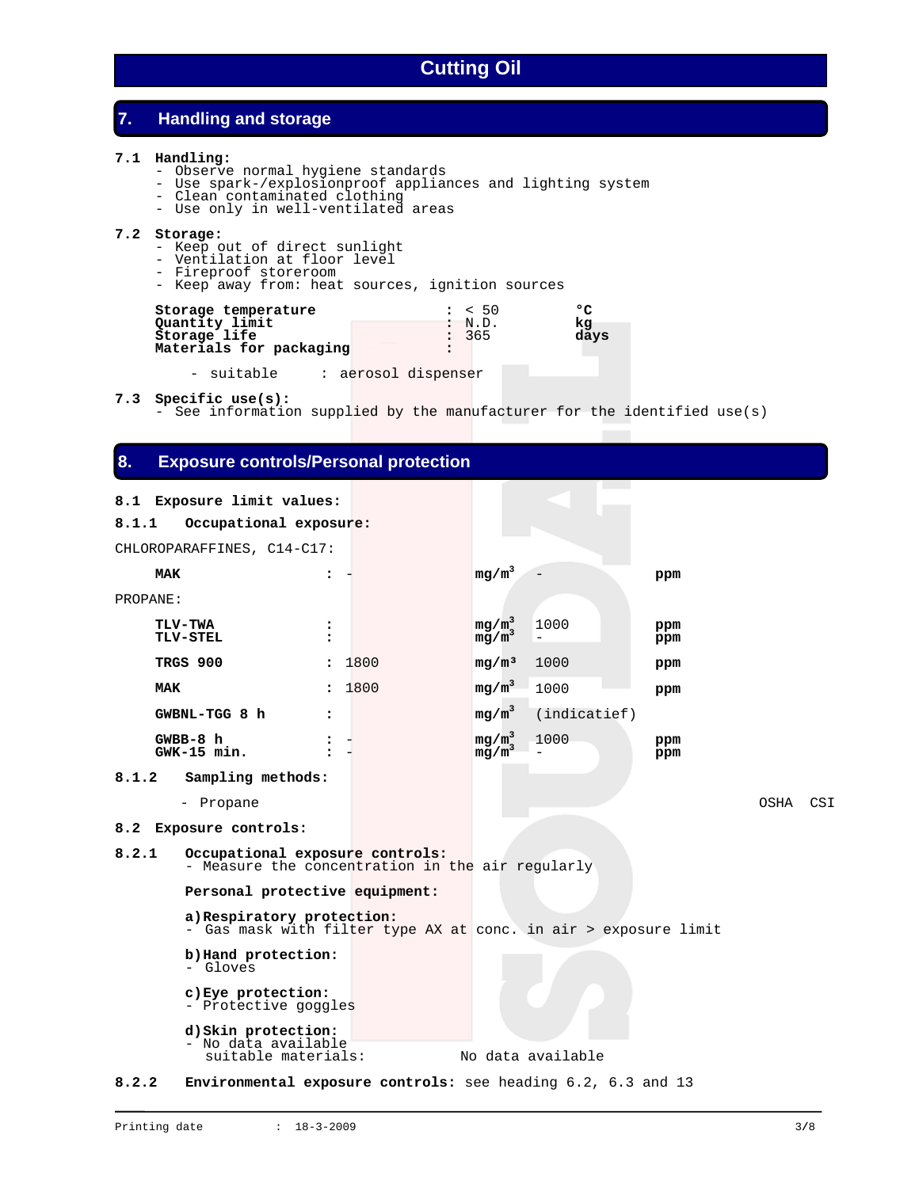# **7. Handling and storage**

## **7.1 Handling:**

- Observe normal hygiene standards
- Use spark-/explosionproof appliances and lighting system
- Clean contaminated clothing
	- Use only in well-ventilated areas

## **7.2 Storage:**

- Keep out of direct sunlight
- Ventilation at floor level
- Fireproof storeroom
- Keep away from: heat sources, ignition sources

| Storage temperature<br>Quantity limit | : 50            | ٥          |
|---------------------------------------|-----------------|------------|
| Storage life                          | : N.D.<br>: 365 | ka<br>davs |
| Materials for packaging               |                 |            |

- suitable : aerosol dispenser

**7.3 Specific use(s):**

- See information supplied by the manufacturer for the identified use(s)

# **8. Exposure controls/Personal protection**

## **8.1 Exposure limit values:**

| 8.1.1      | Occupational exposure:                                                                        |                      |        |                      |                   |            |      |     |
|------------|-----------------------------------------------------------------------------------------------|----------------------|--------|----------------------|-------------------|------------|------|-----|
|            | CHLOROPARAFFINES, C14-C17:                                                                    |                      |        |                      |                   |            |      |     |
| <b>MAK</b> |                                                                                               | :                    |        | $mg/m^3$             |                   | ppm        |      |     |
| PROPANE:   |                                                                                               |                      |        |                      |                   |            |      |     |
|            | <b>TLV-TWA</b><br><b>TLV-STEL</b>                                                             | $\ddot{\phantom{a}}$ |        | $mg/m^3$<br>mq/m     | 1000<br>$\equiv$  | ppm<br>ppm |      |     |
|            | TRGS 900                                                                                      |                      | : 1800 | mg/m <sup>3</sup>    | 1000              | ppm        |      |     |
| <b>MAK</b> |                                                                                               |                      | : 1800 | $mg/m^3$             | 1000              | ppm        |      |     |
|            | GWBNL-TGG 8 h                                                                                 | :                    |        | $mg/m^3$             | (indicate f)      |            |      |     |
|            | $GWBB-8h$<br>$GWK-15$ min.                                                                    | ፡                    |        | $mg/m^3$<br>$mg/m^3$ | 1000              | ppm<br>ppm |      |     |
| 8.1.2      | Sampling methods:                                                                             |                      |        |                      |                   |            |      |     |
|            | - Propane                                                                                     |                      |        |                      |                   |            | OSHA | CSI |
|            | 8.2 Exposure controls:                                                                        |                      |        |                      |                   |            |      |     |
| 8.2.1      | Occupational exposure controls:<br>- Measure the concentration in the air regularly           |                      |        |                      |                   |            |      |     |
|            | Personal protective equipment:                                                                |                      |        |                      |                   |            |      |     |
|            | a) Respiratory protection:<br>- Gas mask with filter type AX at conc. in air > exposure limit |                      |        |                      |                   |            |      |     |
|            | b) Hand protection:<br>- Gloves                                                               |                      |        |                      |                   |            |      |     |
|            | c) Eye protection:<br>- Protective goggles                                                    |                      |        |                      |                   |            |      |     |
|            | d) Skin protection:<br>- No data available<br>suitable materials:                             |                      |        |                      | No data available |            |      |     |
| 8.2.2      | <b>Environmental exposure controls:</b> see heading 6.2, 6.3 and 13                           |                      |        |                      |                   |            |      |     |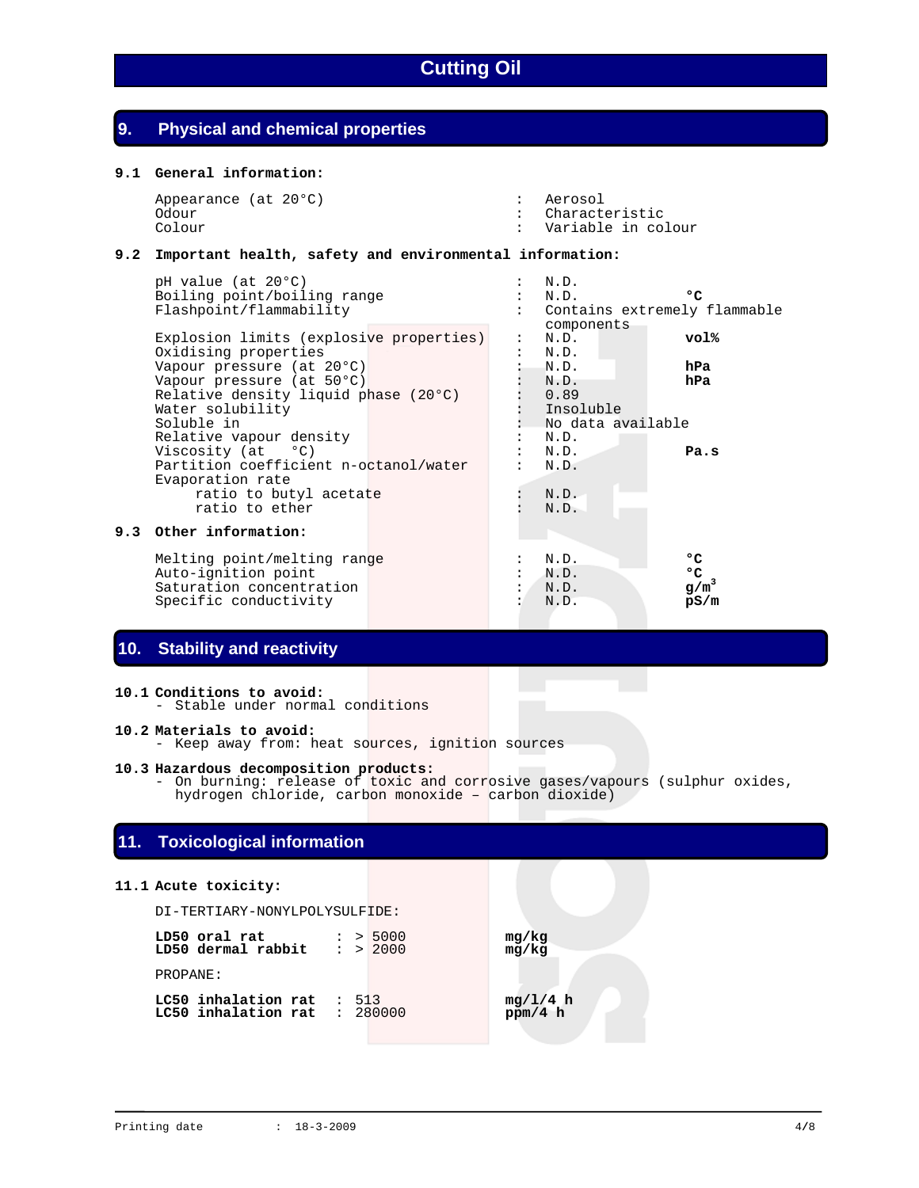# **9. Physical and chemical properties**

## **9.1 General information:**

| Appearance (at 20°C) | : Aerosol          |
|----------------------|--------------------|
| Odour                | : Characteristic   |
| Colour               | Variable in colour |

## **9.2 Important health, safety and environmental information:**

| pH value (at 20°C)<br>Boiling point/boiling range<br>Flashpoint/flammability                                                                               |  | N.D.<br>N.D.<br>Contains extremely flammable<br>components | ۰c                          |
|------------------------------------------------------------------------------------------------------------------------------------------------------------|--|------------------------------------------------------------|-----------------------------|
| Explosion limits (explosive properties)<br>Oxidising properties                                                                                            |  | N.D.<br>N.D.                                               | vol%                        |
| Vapour pressure (at 20°C)<br>Vapour pressure (at 50°C)<br>Relative density liquid phase (20°C)<br>Water solubility<br>Soluble in                           |  | N.D.<br>N.D.<br>0.89<br>Insoluble<br>No data available     | hPa<br>hPa                  |
| Relative vapour density<br>Viscosity $(at \t oC)$<br>Partition coefficient n-octanol/water<br>Evaporation rate<br>ratio to butyl acetate<br>ratio to ether |  | N.D.<br>N.D.<br>N.D.<br>N.D.<br>N.D.                       | Pa.s                        |
| 9.3 Other information:                                                                                                                                     |  |                                                            |                             |
| Melting point/melting range<br>Auto-ignition point<br>Saturation concentration<br>Specific conductivity                                                    |  | N.D.<br>N.D.<br>N.D.<br>N.D.                               | ۰c<br>۰c<br>$g/m^3$<br>pS/m |

# **10. Stability and reactivity**

## **10.1 Conditions to avoid:**

- Stable under normal conditions

## **10.2 Materials to avoid:**

- Keep away from: heat sources, ignition sources

## **10.3 Hazardous decomposition products:**

 - On burning: release of toxic and corrosive gases/vapours (sulphur oxides, hydrogen chloride, carbon monoxide – carbon dioxide)

# **11. Toxicological information**

## **11.1 Acute toxicity:**

DI-TERTIARY-NONYLPOLYSULFIDE:

| LD50 oral rat<br>LD50 dermal rabbit                   |                  | : > 5000<br>: > 2000 | mg/kg<br>mg/kg        |
|-------------------------------------------------------|------------------|----------------------|-----------------------|
| PROPANE:                                              |                  |                      |                       |
| LC50 inhalation rat<br>$LC50$ inhalation rat : 280000 | $\therefore$ 513 |                      | $mg/1/4 h$<br>ppm/4 h |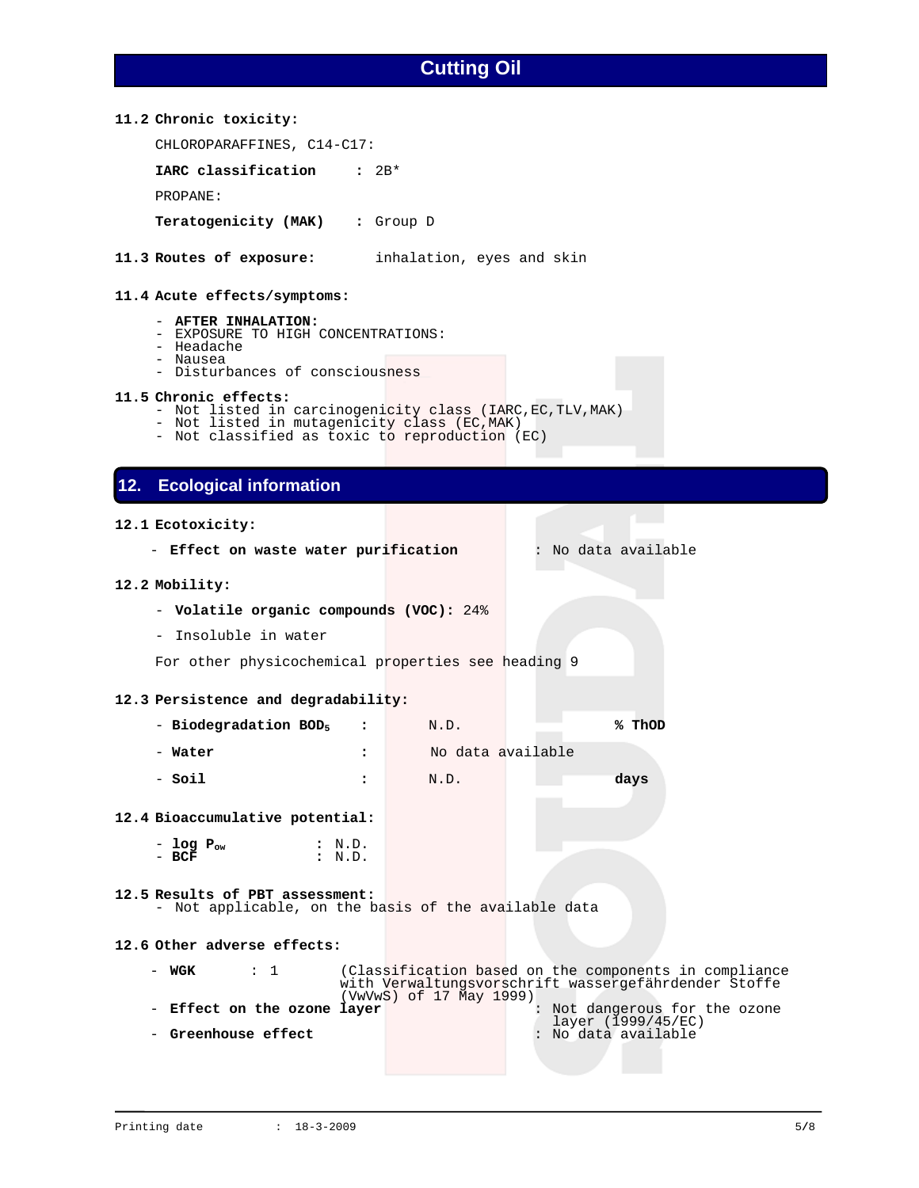## **11.2 Chronic toxicity:**

CHLOROPARAFFINES, C14-C17:

**IARC classification :** 2B\*

PROPANE:

**Teratogenicity (MAK) :** Group D

**11.3 Routes of exposure:** inhalation, eyes and skin

## **11.4 Acute effects/symptoms:**

- **AFTER INHALATION:**
- EXPOSURE TO HIGH CONCENTRATIONS:
- Headache
- Nausea
- Disturbances of consciousness

#### **11.5 Chronic effects:**

- Not listed in carcinogenicity class (IARC,EC,TLV,MAK)
- Not listed in mutagenicity class (EC,MAK)
- Not classified as toxic to reproduction (EC)

# **12. Ecological information**

#### **12.1 Ecotoxicity:**

- **Effect on waste water purification** : No data available

#### **12.2 Mobility:**

- **Volatile organic compounds (VOC):** 24%
- Insoluble in water

For other physicochemical properties see heading 9

## **12.3 Persistence and degradability:**

| - Biodegradation $BOD5$ | N.D.              | % ThOD |
|-------------------------|-------------------|--------|
| - Water                 | No data available |        |

- **Soil :** N.D. **days** 

## **12.4 Bioaccumulative potential:**

- **log Pow :** N.D. - **BCF :** N.D.

## **12.5 Results of PBT assessment:**

- Not applicable, on the basis of the available data

#### **12.6 Other adverse effects:**

| $\cdots$ 1<br>– WGK         | (Classification based on the components in compliance<br>with Verwaltungsvorschrift wassergefährdender Stoffe |
|-----------------------------|---------------------------------------------------------------------------------------------------------------|
|                             | (VwVwS) of 17 May 1999)                                                                                       |
|                             | layer (1999/45/EC)                                                                                            |
| - Greenhouse effect         |                                                                                                               |
| - Effect on the ozone layer | Not dangerous for the ozone<br>: No data available                                                            |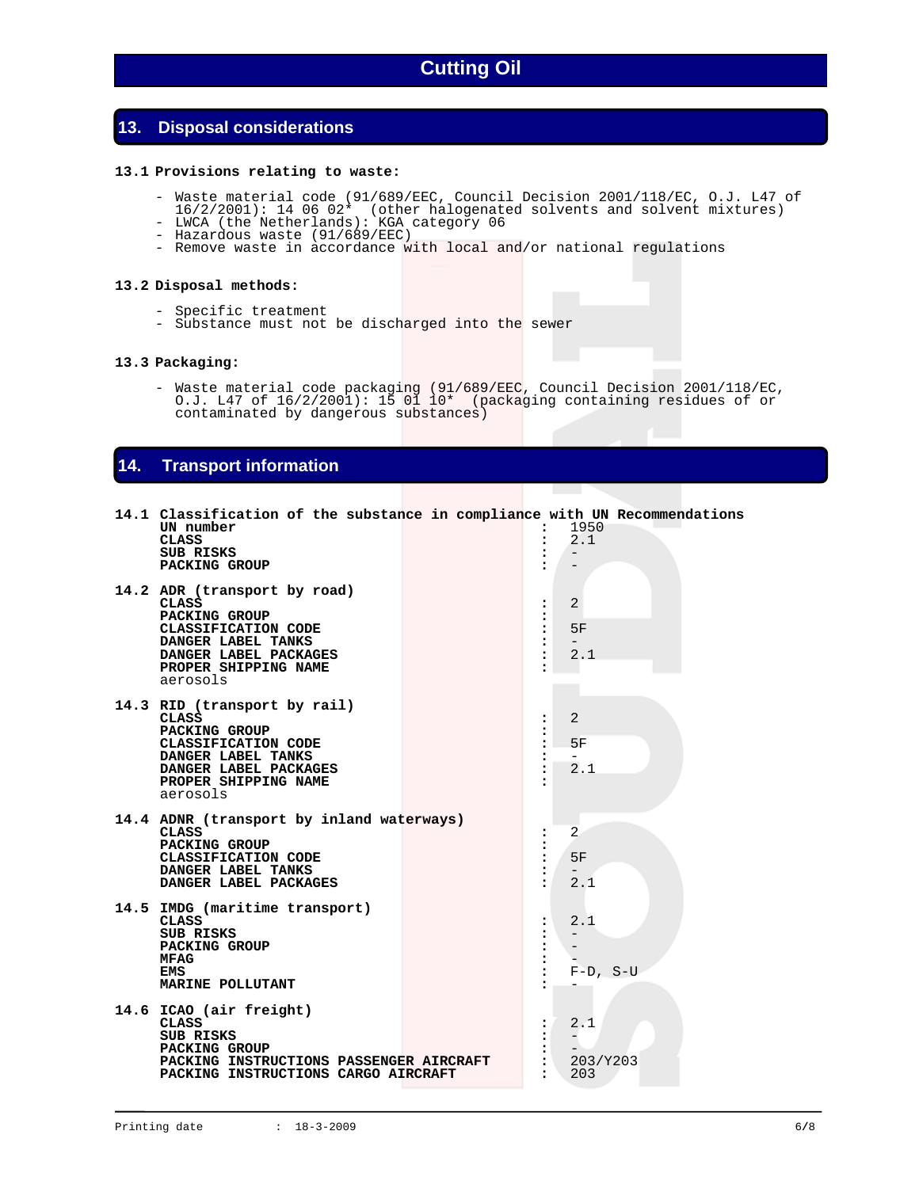# **13. Disposal considerations**

### **13.1 Provisions relating to waste:**

- Waste material code (91/689/EEC, Council Decision 2001/118/EC, O.J. L47 of
	- 16/2/2001): 14 06 02\* (other halogenated solvents and solvent mixtures)
	- LWCA (the Netherlands): KGA category 06 - Hazardous waste (91/689/EEC)
		- Remove waste in accordance with local and/or national regulations

#### **13.2 Disposal methods:**

- Specific treatment
- Substance must not be discharged into the sewer

## **13.3 Packaging:**

 - Waste material code packaging (91/689/EEC, Council Decision 2001/118/EC, O.J. L47 of 16/2/2001): 15 01 10\* (packaging containing residues of or contaminated by dangerous substances)

# **14. Transport information**

| 14.1 Classification of the substance in compliance with UN Recommendations<br>UN number<br><b>CLASS</b><br>SUB RISKS<br>PACKING GROUP                                   |  | :<br>$\ddot{\phantom{a}}$<br>$\ddot{\phantom{a}}$                                            | 1950<br>2.1                                                                  |  |
|-------------------------------------------------------------------------------------------------------------------------------------------------------------------------|--|----------------------------------------------------------------------------------------------|------------------------------------------------------------------------------|--|
| 14.2 ADR (transport by road)<br><b>CLASS</b><br>PACKING GROUP<br>CLASSIFICATION CODE<br>DANGER LABEL TANKS<br>DANGER LABEL PACKAGES<br>PROPER SHIPPING NAME<br>aerosols |  | :<br>$\ddot{\bullet}$<br>:<br>:<br>$\ddot{\phantom{a}}$                                      | 2<br>5F<br>$-$<br>2.1                                                        |  |
| 14.3 RID (transport by rail)<br>CLASS<br>PACKING GROUP<br>CLASSIFICATION CODE<br>DANGER LABEL TANKS<br>DANGER LABEL PACKAGES<br>PROPER SHIPPING NAME<br>aerosols        |  | :<br>:<br>$\ddot{\phantom{a}}$<br>$\ddot{\phantom{a}}$<br>$\ddot{\phantom{a}}$               | 2<br>5F<br>$\overline{\phantom{0}}$<br>2.1                                   |  |
| 14.4 ADNR (transport by inland waterways)<br><b>CLASS</b><br>PACKING GROUP<br>CLASSIFICATION CODE<br>DANGER LABEL TANKS<br>DANGER LABEL PACKAGES                        |  | $\ddot{\phantom{a}}$<br>:<br>:<br>:                                                          | $\overline{2}$<br>5F<br>$\qquad \qquad -$<br>2.1                             |  |
| 14.5 IMDG (maritime transport)<br><b>CLASS</b><br>SUB RISKS<br>PACKING GROUP<br>MFAG<br>EMS<br>MARINE POLLUTANT                                                         |  | :<br>$\ddot{\phantom{a}}$<br>$\ddot{\bullet}$<br>$\ddot{\phantom{a}}$<br>፡                   | 2.1<br>$\overline{\phantom{m}}$<br>$\overline{\phantom{m}}$<br>$F-D$ , $S-U$ |  |
| 14.6 ICAO (air freight)<br><b>CLASS</b><br>SUB RISKS<br>PACKING GROUP<br>PACKING INSTRUCTIONS PASSENGER AIRCRAFT<br>PACKING INSTRUCTIONS CARGO AIRCRAFT                 |  | $\ddot{\phantom{a}}$<br>$\ddot{\phantom{a}}$<br>$\ddot{\phantom{a}}$<br>$\ddot{\phantom{a}}$ | 2.1<br>$\overline{\phantom{m}}$<br>203/Y203<br>203                           |  |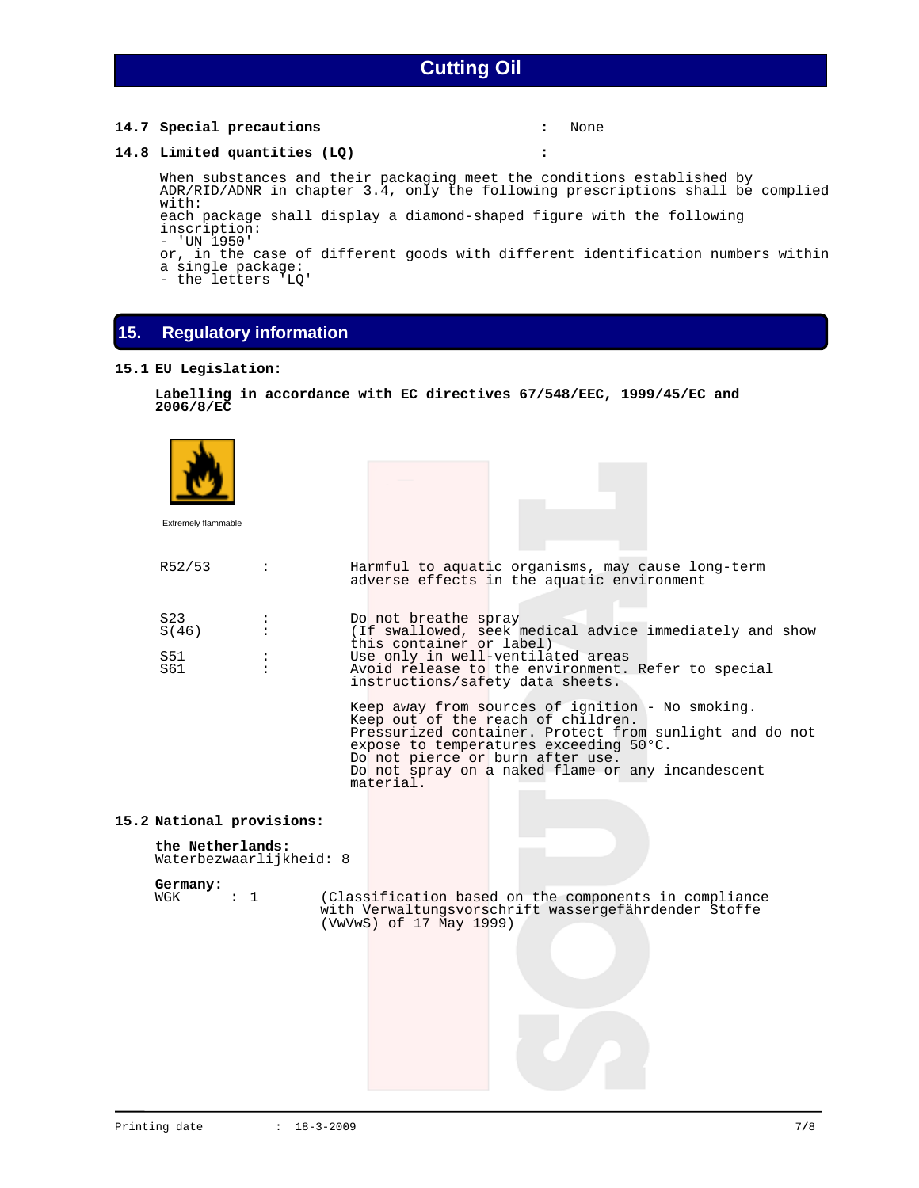## **14.7 Special precautions :** None

### **14.8 Limited quantities (LQ) :**

 When substances and their packaging meet the conditions established by ADR/RID/ADNR in chapter 3.4, only the following prescriptions shall be complied with: each package shall display a diamond-shaped figure with the following

inscription: - 'UN 1950'

or, in the case of different goods with different identification numbers within a single package:

- the letters 'LQ'

# **15. Regulatory information**

### **15.1 EU Legislation:**

```
 Labelling in accordance with EC directives 67/548/EEC, 1999/45/EC and 
2006/8/EC
```

| Extremely flammable                                                      |                |                                                                                                                                                                                                                                                                                                   |
|--------------------------------------------------------------------------|----------------|---------------------------------------------------------------------------------------------------------------------------------------------------------------------------------------------------------------------------------------------------------------------------------------------------|
| R52/53                                                                   | $\ddot{\cdot}$ | Harmful to aquatic organisms, may cause long-term<br>adverse effects in the aquatic environment                                                                                                                                                                                                   |
| S <sub>23</sub><br>S(46)<br>S51<br>S61                                   | $\ddot{\cdot}$ | Do not breathe spray<br>(If swallowed, seek medical advice immediately and show<br>this container or label)<br>Use only in well-ventilated areas<br>Avoid release to the environment. Refer to special<br>instructions/safety data sheets.                                                        |
|                                                                          |                | Keep away from sources of ignition - No smoking.<br>Keep out of the reach of children.<br>Pressurized container. Protect from sunlight and do not<br>expose to temperatures exceeding 50°C.<br>Do not pierce or burn after use.<br>Do not spray on a naked flame or any incandescent<br>material. |
| 15.2 National provisions:<br>the Netherlands:<br>Waterbezwaarlijkheid: 8 |                |                                                                                                                                                                                                                                                                                                   |
| Germany:<br>$\mathfrak{t}$ 1<br>WGK                                      |                | (Classification based on the components in compliance<br>with Verwaltungsvorschrift wassergefährdender Stoffe<br>(VwVwS) of 17 May 1999)                                                                                                                                                          |